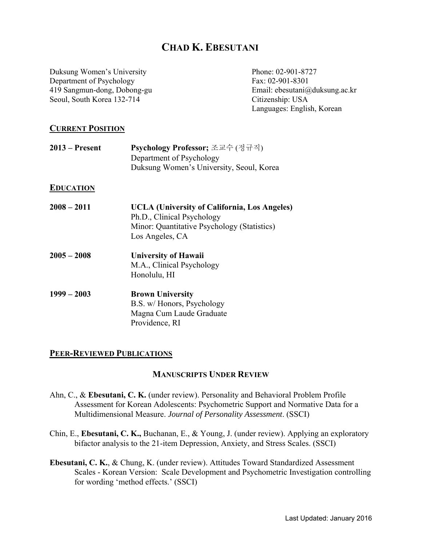# **CHAD K. EBESUTANI**

Duksung Women's University Department of Psychology 419 Sangmun-dong, Dobong-gu Seoul, South Korea 132-714

Phone: 02-901-8727 Fax: 02-901-8301 Email: ebesutani@duksung.ac.kr Citizenship: USA Languages: English, Korean

## **CURRENT POSITION**

| $2013$ – Present | Psychology Professor; 조교수 (정규직)<br>Department of Psychology<br>Duksung Women's University, Seoul, Korea                                      |
|------------------|----------------------------------------------------------------------------------------------------------------------------------------------|
| <b>EDUCATION</b> |                                                                                                                                              |
| $2008 - 2011$    | UCLA (University of California, Los Angeles)<br>Ph.D., Clinical Psychology<br>Minor: Quantitative Psychology (Statistics)<br>Los Angeles, CA |
| $2005 - 2008$    | <b>University of Hawaii</b><br>M.A., Clinical Psychology<br>Honolulu, HI                                                                     |
| $1999 - 2003$    | <b>Brown University</b><br>B.S. w/ Honors, Psychology<br>Magna Cum Laude Graduate<br>Providence, RI                                          |

### **PEER-REVIEWED PUBLICATIONS**

### **MANUSCRIPTS UNDER REVIEW**

- Ahn, C., & **Ebesutani, C. K.** (under review). Personality and Behavioral Problem Profile Assessment for Korean Adolescents: Psychometric Support and Normative Data for a Multidimensional Measure. *Journal of Personality Assessment*. (SSCI)
- Chin, E., **Ebesutani, C. K.,** Buchanan, E., & Young, J. (under review). Applying an exploratory bifactor analysis to the 21-item Depression, Anxiety, and Stress Scales. (SSCI)
- **Ebesutani, C. K.**, & Chung, K. (under review). Attitudes Toward Standardized Assessment Scales - Korean Version: Scale Development and Psychometric Investigation controlling for wording 'method effects.' (SSCI)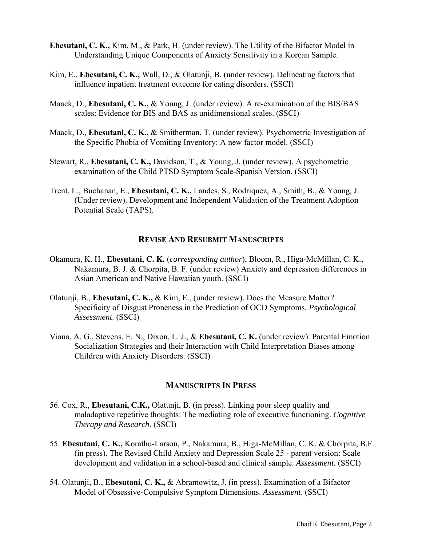- **Ebesutani, C. K.,** Kim, M., & Park, H. (under review). The Utility of the Bifactor Model in Understanding Unique Components of Anxiety Sensitivity in a Korean Sample.
- Kim, E., **Ebesutani, C. K.,** Wall, D., & Olatunji, B. (under review). Delineating factors that influence inpatient treatment outcome for eating disorders. (SSCI)
- Maack, D., **Ebesutani, C. K.,** & Young, J. (under review). A re-examination of the BIS/BAS scales: Evidence for BIS and BAS as unidimensional scales. (SSCI)
- Maack, D., **Ebesutani, C. K.,** & Smitherman, T. (under review). Psychometric Investigation of the Specific Phobia of Vomiting Inventory: A new factor model. (SSCI)
- Stewart, R., **Ebesutani, C. K.,** Davidson, T., & Young, J. (under review). A psychometric examination of the Child PTSD Symptom Scale-Spanish Version. (SSCI)
- Trent, L., Buchanan, E., **Ebesutani, C. K.,** Landes, S., Rodriquez, A., Smith, B., & Young, J. (Under review). Development and Independent Validation of the Treatment Adoption Potential Scale (TAPS).

## **REVISE AND RESUBMIT MANUSCRIPTS**

- Okamura, K. H., **Ebesutani, C. K.** (*corresponding author*), Bloom, R., Higa-McMillan, C. K., Nakamura, B. J. & Chorpita, B. F. (under review) Anxiety and depression differences in Asian American and Native Hawaiian youth. (SSCI)
- Olatunji, B., **Ebesutani, C. K.,** & Kim, E., (under review). Does the Measure Matter? Specificity of Disgust Proneness in the Prediction of OCD Symptoms. *Psychological Assessment*. (SSCI)
- Viana, A. G., Stevens, E. N., Dixon, L. J., & **Ebesutani, C. K.** (under review). Parental Emotion Socialization Strategies and their Interaction with Child Interpretation Biases among Children with Anxiety Disorders. (SSCI)

### **MANUSCRIPTS IN PRESS**

- 56. Cox, R., **Ebesutani, C.K.,** Olatunji, B. (in press). Linking poor sleep quality and maladaptive repetitive thoughts: The mediating role of executive functioning. *Cognitive Therapy and Research*. (SSCI)
- 55. **Ebesutani, C. K.,** Korathu-Larson, P., Nakamura, B., Higa-McMillan, C. K. & Chorpita, B.F. (in press). The Revised Child Anxiety and Depression Scale 25 - parent version: Scale development and validation in a school-based and clinical sample. *Assessment*. (SSCI)
- 54. Olatunji, B., **Ebesutani, C. K.,** & Abramowitz, J. (in press). Examination of a Bifactor Model of Obsessive-Compulsive Symptom Dimensions. *Assessment*. (SSCI)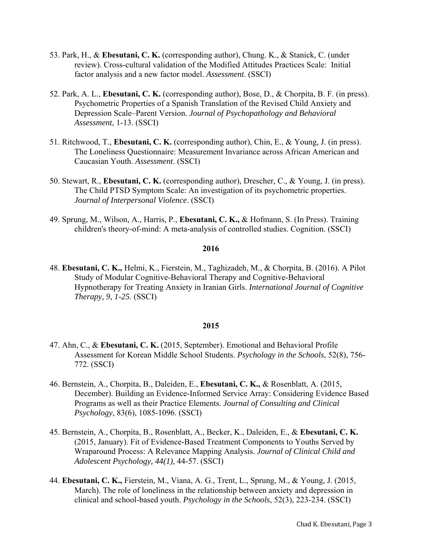- 53. Park, H., & **Ebesutani, C. K.** (corresponding author), Chung. K., & Stanick, C. (under review). Cross-cultural validation of the Modified Attitudes Practices Scale: Initial factor analysis and a new factor model. *Assessment*. (SSCI)
- 52. Park, A. L., **Ebesutani, C. K.** (corresponding author), Bose, D., & Chorpita, B. F. (in press). Psychometric Properties of a Spanish Translation of the Revised Child Anxiety and Depression Scale–Parent Version. *Journal of Psychopathology and Behavioral Assessment*, 1-13. (SSCI)
- 51. Ritchwood, T., **Ebesutani, C. K.** (corresponding author), Chin, E., & Young, J. (in press). The Loneliness Questionnaire: Measurement Invariance across African American and Caucasian Youth. *Assessment*. (SSCI)
- 50. Stewart, R., **Ebesutani, C. K.** (corresponding author), Drescher, C., & Young, J. (in press). The Child PTSD Symptom Scale: An investigation of its psychometric properties. *Journal of Interpersonal Violence*. (SSCI)
- 49. Sprung, M., Wilson, A., Harris, P., **Ebesutani, C. K.,** & Hofmann, S. (In Press). Training children's theory-of-mind: A meta-analysis of controlled studies. Cognition. (SSCI)

48. **Ebesutani, C. K.,** Helmi, K., Fierstein, M., Taghizadeh, M., & Chorpita, B. (2016). A Pilot Study of Modular Cognitive-Behavioral Therapy and Cognitive-Behavioral Hypnotherapy for Treating Anxiety in Iranian Girls. *International Journal of Cognitive Therapy, 9, 1-25*. (SSCI)

- 47. Ahn, C., & **Ebesutani, C. K.** (2015, September). Emotional and Behavioral Profile Assessment for Korean Middle School Students. *Psychology in the Schools*, 52(8), 756- 772. (SSCI)
- 46. Bernstein, A., Chorpita, B., Daleiden, E., **Ebesutani, C. K.,** & Rosenblatt, A. (2015, December). Building an Evidence-Informed Service Array: Considering Evidence Based Programs as well as their Practice Elements. *Journal of Consulting and Clinical Psychology*, 83(6), 1085-1096. (SSCI)
- 45. Bernstein, A., Chorpita, B., Rosenblatt, A., Becker, K., Daleiden, E., & **Ebesutani, C. K.** (2015, January). Fit of Evidence-Based Treatment Components to Youths Served by Wraparound Process: A Relevance Mapping Analysis. *Journal of Clinical Child and Adolescent Psychology, 44(1),* 44-57. (SSCI)
- 44. **Ebesutani, C. K.,** Fierstein, M., Viana, A. G., Trent, L., Sprung, M., & Young, J. (2015, March). The role of loneliness in the relationship between anxiety and depression in clinical and school-based youth. *Psychology in the Schools*, 52(3), 223-234. (SSCI)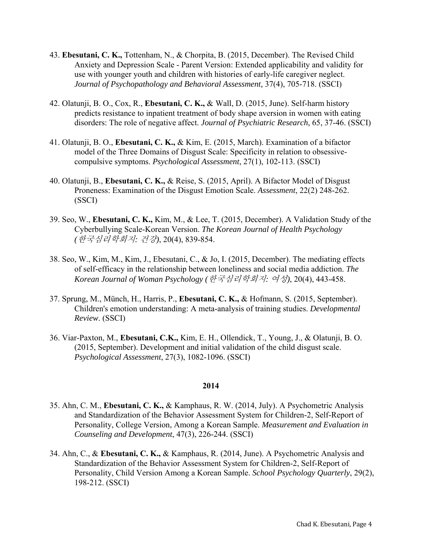- 43. **Ebesutani, C. K.,** Tottenham, N., & Chorpita, B. (2015, December). The Revised Child Anxiety and Depression Scale - Parent Version: Extended applicability and validity for use with younger youth and children with histories of early-life caregiver neglect. *Journal of Psychopathology and Behavioral Assessment,* 37(4), 705-718. (SSCI)
- 42. Olatunji, B. O., Cox, R., **Ebesutani, C. K.,** & Wall, D. (2015, June). Self-harm history predicts resistance to inpatient treatment of body shape aversion in women with eating disorders: The role of negative affect. *Journal of Psychiatric Research*, 65, 37-46. (SSCI)
- 41. Olatunji, B. O., **Ebesutani, C. K.,** & Kim, E. (2015, March). Examination of a bifactor model of the Three Domains of Disgust Scale: Specificity in relation to obsessivecompulsive symptoms. *Psychological Assessment*, 27(1), 102-113. (SSCI)
- 40. Olatunji, B., **Ebesutani, C. K.,** & Reise, S. (2015, April). A Bifactor Model of Disgust Proneness: Examination of the Disgust Emotion Scale. *Assessment*, 22(2) 248-262. (SSCI)
- 39. Seo, W., **Ebesutani, C. K.,** Kim, M., & Lee, T. (2015, December). A Validation Study of the Cyberbullying Scale-Korean Version. *The Korean Journal of Health Psychology (*한국심리학회지*:* 건강*)*, 20(4), 839-854.
- 38. Seo, W., Kim, M., Kim, J., Ebesutani, C., & Jo, I. (2015, December). The mediating effects of self-efficacy in the relationship between loneliness and social media addiction. *The Korean Journal of Woman Psychology (*한국심리학회지*:* 여성*)*, 20(4), 443-458.
- 37. Sprung, M., Münch, H., Harris, P., **Ebesutani, C. K.,** & Hofmann, S. (2015, September). Children's emotion understanding: A meta-analysis of training studies. *Developmental Review*. (SSCI)
- 36. Viar-Paxton, M., **Ebesutani, C.K.,** Kim, E. H., Ollendick, T., Young, J., & Olatunji, B. O. (2015, September). Development and initial validation of the child disgust scale. *Psychological Assessment*, 27(3), 1082-1096. (SSCI)

- 35. Ahn, C. M., **Ebesutani, C. K.,** & Kamphaus, R. W. (2014, July). A Psychometric Analysis and Standardization of the Behavior Assessment System for Children-2, Self-Report of Personality, College Version, Among a Korean Sample. *Measurement and Evaluation in Counseling and Development*, 47(3), 226-244. (SSCI)
- 34. Ahn, C., & **Ebesutani, C. K.,** & Kamphaus, R. (2014, June). A Psychometric Analysis and Standardization of the Behavior Assessment System for Children-2, Self-Report of Personality, Child Version Among a Korean Sample. *School Psychology Quarterly*, 29(2), 198-212. (SSCI)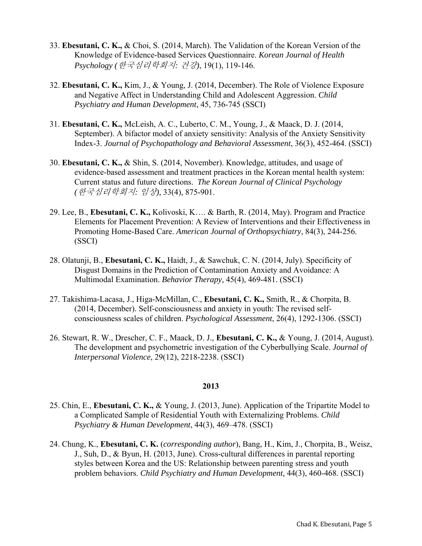- 33. **Ebesutani, C. K.,** & Choi, S. (2014, March). The Validation of the Korean Version of the Knowledge of Evidence-based Services Questionnaire. *Korean Journal of Health Psychology (*한국심리학회지*:* 건강*)*, 19(1), 119-146.
- 32. **Ebesutani, C. K.,** Kim, J., & Young, J. (2014, December). The Role of Violence Exposure and Negative Affect in Understanding Child and Adolescent Aggression. *Child Psychiatry and Human Development*, 45, 736-745 (SSCI)
- 31. **Ebesutani, C. K.,** McLeish, A. C., Luberto, C. M., Young, J., & Maack, D. J. (2014, September). A bifactor model of anxiety sensitivity: Analysis of the Anxiety Sensitivity Index-3. *Journal of Psychopathology and Behavioral Assessment*, 36(3), 452-464. (SSCI)
- 30. **Ebesutani, C. K.,** & Shin, S. (2014, November). Knowledge, attitudes, and usage of evidence-based assessment and treatment practices in the Korean mental health system: Current status and future directions. *The Korean Journal of Clinical Psychology (*한국심리학회지*:* 임상*),* 33(4), 875-901.
- 29. Lee, B., **Ebesutani, C. K.,** Kolivoski, K…. & Barth, R. (2014, May). Program and Practice Elements for Placement Prevention: A Review of Interventions and their Effectiveness in Promoting Home-Based Care. *American Journal of Orthopsychiatry*, 84(3), 244-256. (SSCI)
- 28. Olatunji, B., **Ebesutani, C. K.,** Haidt, J., & Sawchuk, C. N. (2014, July). Specificity of Disgust Domains in the Prediction of Contamination Anxiety and Avoidance: A Multimodal Examination. *Behavior Therapy,* 45(4), 469-481. (SSCI)
- 27. Takishima-Lacasa, J., Higa-McMillan, C., **Ebesutani, C. K.,** Smith, R., & Chorpita, B. (2014, December). Self-consciousness and anxiety in youth: The revised selfconsciousness scales of children. *Psychological Assessment*, 26(4), 1292-1306. (SSCI)
- 26. Stewart, R. W., Drescher, C. F., Maack, D. J., **Ebesutani, C. K.,** & Young, J. (2014, August). The development and psychometric investigation of the Cyberbullying Scale. *Journal of Interpersonal Violence*, 29(12), 2218-2238. (SSCI)

- 25. Chin, E., **Ebesutani, C. K.,** & Young, J. (2013, June). Application of the Tripartite Model to a Complicated Sample of Residential Youth with Externalizing Problems. *Child Psychiatry & Human Development*, 44(3), 469–478. (SSCI)
- 24. Chung, K., **Ebesutani, C. K.** (*corresponding author*), Bang, H., Kim, J., Chorpita, B., Weisz, J., Suh, D., & Byun, H. (2013, June). Cross-cultural differences in parental reporting styles between Korea and the US: Relationship between parenting stress and youth problem behaviors. *Child Psychiatry and Human Development,* 44(3), 460-468. (SSCI)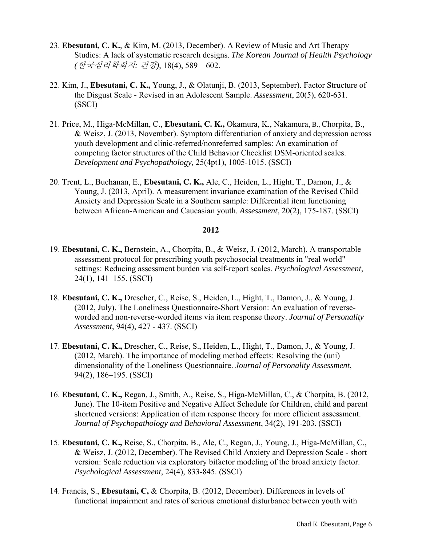- 23. **Ebesutani, C. K.**, & Kim, M. (2013, December). A Review of Music and Art Therapy Studies: A lack of systematic research designs. *The Korean Journal of Health Psychology (*한국심리학회지*:* 건강*)*, 18(4), 589 – 602.
- 22. Kim, J., **Ebesutani, C. K.,** Young, J., & Olatunji, B. (2013, September). Factor Structure of the Disgust Scale - Revised in an Adolescent Sample. *Assessment*, 20(5), 620-631. (SSCI)
- 21. Price, M., Higa-McMillan, C., **Ebesutani, C. K.,** Okamura, K., Nakamura, B., Chorpita, B., & Weisz, J. (2013, November). Symptom differentiation of anxiety and depression across youth development and clinic-referred/nonreferred samples: An examination of competing factor structures of the Child Behavior Checklist DSM-oriented scales. *Development and Psychopathology,* 25(4pt1), 1005-1015. (SSCI)
- 20. Trent, L., Buchanan, E., **Ebesutani, C. K.,** Ale, C., Heiden, L., Hight, T., Damon, J., & Young, J. (2013, April). A measurement invariance examination of the Revised Child Anxiety and Depression Scale in a Southern sample: Differential item functioning between African-American and Caucasian youth. *Assessment*, 20(2), 175-187. (SSCI)

- 19. **Ebesutani, C. K.,** Bernstein, A., Chorpita, B., & Weisz, J. (2012, March). A transportable assessment protocol for prescribing youth psychosocial treatments in "real world" settings: Reducing assessment burden via self-report scales. *Psychological Assessment*, 24(1), 141–155. (SSCI)
- 18. **Ebesutani, C. K.,** Drescher, C., Reise, S., Heiden, L., Hight, T., Damon, J., & Young, J. (2012, July). The Loneliness Questionnaire-Short Version: An evaluation of reverseworded and non-reverse-worded items via item response theory. *Journal of Personality Assessment*, 94(4), 427 - 437. (SSCI)
- 17. **Ebesutani, C. K.,** Drescher, C., Reise, S., Heiden, L., Hight, T., Damon, J., & Young, J. (2012, March). The importance of modeling method effects: Resolving the (uni) dimensionality of the Loneliness Questionnaire. *Journal of Personality Assessment*, 94(2), 186–195. (SSCI)
- 16. **Ebesutani, C. K.,** Regan, J., Smith, A., Reise, S., Higa-McMillan, C., & Chorpita, B. (2012, June). The 10-item Positive and Negative Affect Schedule for Children, child and parent shortened versions: Application of item response theory for more efficient assessment. *Journal of Psychopathology and Behavioral Assessment*, 34(2), 191-203*.* (SSCI)
- 15. **Ebesutani, C. K.,** Reise, S., Chorpita, B., Ale, C., Regan, J., Young, J., Higa-McMillan, C., & Weisz, J. (2012, December). The Revised Child Anxiety and Depression Scale - short version: Scale reduction via exploratory bifactor modeling of the broad anxiety factor. *Psychological Assessment*, 24(4), 833-845. (SSCI)
- 14. Francis, S., **Ebesutani, C,** & Chorpita, B. (2012, December). Differences in levels of functional impairment and rates of serious emotional disturbance between youth with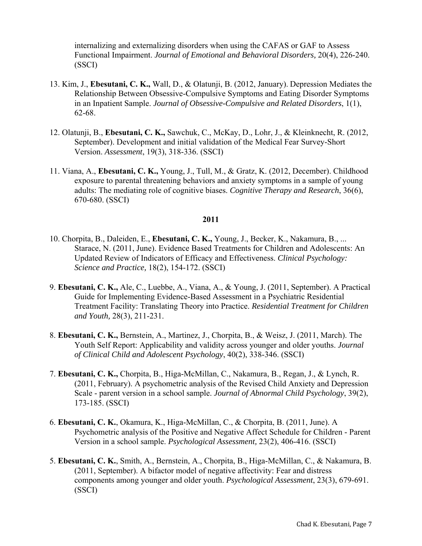internalizing and externalizing disorders when using the CAFAS or GAF to Assess Functional Impairment. *Journal of Emotional and Behavioral Disorders,* 20(4), 226-240. (SSCI)

- 13. Kim, J., **Ebesutani, C. K.,** Wall, D., & Olatunji, B. (2012, January). Depression Mediates the Relationship Between Obsessive-Compulsive Symptoms and Eating Disorder Symptoms in an Inpatient Sample. *Journal of Obsessive-Compulsive and Related Disorders*, 1(1), 62-68.
- 12. Olatunji, B., **Ebesutani, C. K.,** Sawchuk, C., McKay, D., Lohr, J., & Kleinknecht, R. (2012, September). Development and initial validation of the Medical Fear Survey-Short Version. *Assessment*, 19(3), 318-336. (SSCI)
- 11. Viana, A., **Ebesutani, C. K.,** Young, J., Tull, M., & Gratz, K. (2012, December). Childhood exposure to parental threatening behaviors and anxiety symptoms in a sample of young adults: The mediating role of cognitive biases. *Cognitive Therapy and Research*, 36(6), 670-680. (SSCI)

- 10. Chorpita, B., Daleiden, E., **Ebesutani, C. K.,** Young, J., Becker, K., Nakamura, B., ... Starace, N. (2011, June). Evidence Based Treatments for Children and Adolescents: An Updated Review of Indicators of Efficacy and Effectiveness. *Clinical Psychology: Science and Practice,* 18(2), 154-172. (SSCI)
- 9. **Ebesutani, C. K.,** Ale, C., Luebbe, A., Viana, A., & Young, J. (2011, September). A Practical Guide for Implementing Evidence-Based Assessment in a Psychiatric Residential Treatment Facility: Translating Theory into Practice. *Residential Treatment for Children and Youth,* 28(3), 211-231.
- 8. **Ebesutani, C. K.,** Bernstein, A., Martinez, J., Chorpita, B., & Weisz, J. (2011, March). The Youth Self Report: Applicability and validity across younger and older youths. *Journal of Clinical Child and Adolescent Psychology*, 40(2), 338-346. (SSCI)
- 7. **Ebesutani, C. K.,** Chorpita, B., Higa-McMillan, C., Nakamura, B., Regan, J., & Lynch, R. (2011, February). A psychometric analysis of the Revised Child Anxiety and Depression Scale - parent version in a school sample. *Journal of Abnormal Child Psychology*, 39(2), 173-185. (SSCI)
- 6. **Ebesutani, C. K.**, Okamura, K., Higa-McMillan, C., & Chorpita, B. (2011, June). A Psychometric analysis of the Positive and Negative Affect Schedule for Children - Parent Version in a school sample. *Psychological Assessment,* 23(2), 406-416. (SSCI)
- 5. **Ebesutani, C. K.**, Smith, A., Bernstein, A., Chorpita, B., Higa-McMillan, C., & Nakamura, B. (2011, September). A bifactor model of negative affectivity: Fear and distress components among younger and older youth. *Psychological Assessment*, 23(3), 679-691. (SSCI)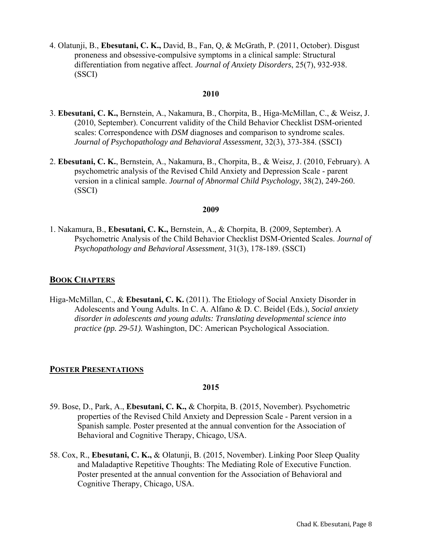4. Olatunji, B., **Ebesutani, C. K.,** David, B., Fan, Q, & McGrath, P. (2011, October). Disgust proneness and obsessive-compulsive symptoms in a clinical sample: Structural differentiation from negative affect. *Journal of Anxiety Disorders*, 25(7), 932-938. (SSCI)

### **2010**

- 3. **Ebesutani, C. K.,** Bernstein, A., Nakamura, B., Chorpita, B., Higa-McMillan, C., & Weisz, J. (2010, September). Concurrent validity of the Child Behavior Checklist DSM-oriented scales: Correspondence with *DSM* diagnoses and comparison to syndrome scales. *Journal of Psychopathology and Behavioral Assessment,* 32(3), 373-384. (SSCI)
- 2. **Ebesutani, C. K.**, Bernstein, A., Nakamura, B., Chorpita, B., & Weisz, J. (2010, February). A psychometric analysis of the Revised Child Anxiety and Depression Scale - parent version in a clinical sample. *Journal of Abnormal Child Psychology*, 38(2), 249-260. (SSCI)

### **2009**

1. Nakamura, B., **Ebesutani, C. K.,** Bernstein, A., & Chorpita, B. (2009, September). A Psychometric Analysis of the Child Behavior Checklist DSM-Oriented Scales. *Journal of Psychopathology and Behavioral Assessment*, 31(3), 178-189. (SSCI)

### **BOOK CHAPTERS**

Higa-McMillan, C., & **Ebesutani, C. K.** (2011). The Etiology of Social Anxiety Disorder in Adolescents and Young Adults. In C. A. Alfano & D. C. Beidel (Eds.), *Social anxiety disorder in adolescents and young adults: Translating developmental science into practice (pp. 29-51).* Washington, DC: American Psychological Association.

## **POSTER PRESENTATIONS**

- 59. Bose, D., Park, A., **Ebesutani, C. K.,** & Chorpita, B. (2015, November). Psychometric properties of the Revised Child Anxiety and Depression Scale - Parent version in a Spanish sample. Poster presented at the annual convention for the Association of Behavioral and Cognitive Therapy, Chicago, USA.
- 58. Cox, R., **Ebesutani, C. K.,** & Olatunji, B. (2015, November). Linking Poor Sleep Quality and Maladaptive Repetitive Thoughts: The Mediating Role of Executive Function. Poster presented at the annual convention for the Association of Behavioral and Cognitive Therapy, Chicago, USA.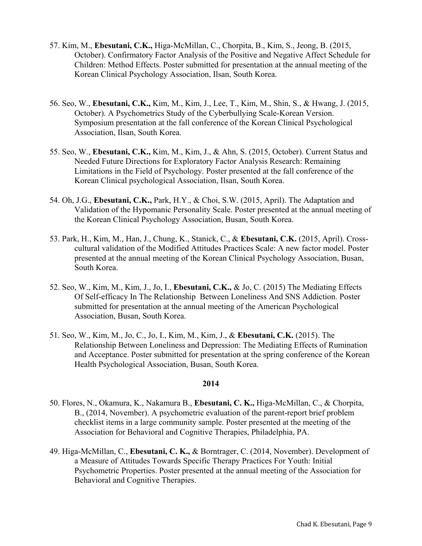- 57. Kim, M., **Ebesutani, C.K.,** Higa-McMillan, C., Chorpita, B., Kim, S., Jeong, B. (2015, October). Confirmatory Factor Analysis of the Positive and Negative Affect Schedule for Children: Method Effects. Poster submitted for presentation at the annual meeting of the Korean Clinical Psychology Association, Ilsan, South Korea.
- 56. Seo, W., **Ebesutani, C.K.,** Kim, M., Kim, J., Lee, T., Kim, M., Shin, S., & Hwang, J. (2015, October). A Psychometrics Study of the Cyberbullying Scale-Korean Version. Symposium presentation at the fall conference of the Korean Clinical Psychological Association, Ilsan, South Korea.
- 55. Seo, W., **Ebesutani, C.K.,** Kim, M., Kim, J., & Ahn, S. (2015, October). Current Status and Needed Future Directions for Exploratory Factor Analysis Research: Remaining Limitations in the Field of Psychology. Poster presented at the fall conference of the Korean Clinical psychological Association, Ilsan, South Korea.
- 54. Oh, J.G., **Ebesutani, C.K.,** Park, H.Y., & Choi, S.W. (2015, April). The Adaptation and Validation of the Hypomanic Personality Scale. Poster presented at the annual meeting of the Korean Clinical Psychology Association, Busan, South Korea.
- 53. Park, H., Kim, M., Han, J., Chung, K., Stanick, C., & **Ebesutani, C.K.** (2015, April). Crosscultural validation of the Modified Attitudes Practices Scale: A new factor model. Poster presented at the annual meeting of the Korean Clinical Psychology Association, Busan, South Korea.
- 52. Seo, W., Kim, M., Kim, J., Jo, I., **Ebesutani, C.K.,** & Jo, C. (2015) The Mediating Effects Of Self-efficacy In The Relationship Between Loneliness And SNS Addiction. Poster submitted for presentation at the annual meeting of the American Psychological Association, Busan, South Korea.
- 51. Seo, W., Kim, M., Jo, C., Jo, I., Kim, M., Kim, J., & **Ebesutani, C.K.** (2015). The Relationship Between Loneliness and Depression: The Mediating Effects of Rumination and Acceptance. Poster submitted for presentation at the spring conference of the Korean Health Psychological Association, Busan, South Korea.

- 50. Flores, N., Okamura, K., Nakamura B., **Ebesutani, C. K.,** Higa-McMillan, C., & Chorpita, B., (2014, November). A psychometric evaluation of the parent-report brief problem checklist items in a large community sample. Poster presented at the meeting of the Association for Behavioral and Cognitive Therapies, Philadelphia, PA.
- 49. Higa-McMillan, C., **Ebesutani, C. K.,** & Borntrager, C. (2014, November). Development of a Measure of Attitudes Towards Specific Therapy Practices For Youth: Initial Psychometric Properties. Poster presented at the annual meeting of the Association for Behavioral and Cognitive Therapies.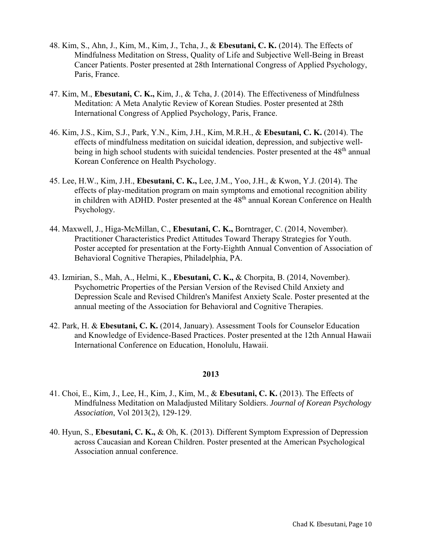- 48. Kim, S., Ahn, J., Kim, M., Kim, J., Tcha, J., & **Ebesutani, C. K.** (2014). The Effects of Mindfulness Meditation on Stress, Quality of Life and Subjective Well-Being in Breast Cancer Patients. Poster presented at 28th International Congress of Applied Psychology, Paris, France.
- 47. Kim, M., **Ebesutani, C. K.,** Kim, J., & Tcha, J. (2014). The Effectiveness of Mindfulness Meditation: A Meta Analytic Review of Korean Studies. Poster presented at 28th International Congress of Applied Psychology, Paris, France.
- 46. Kim, J.S., Kim, S.J., Park, Y.N., Kim, J.H., Kim, M.R.H., & **Ebesutani, C. K.** (2014). The effects of mindfulness meditation on suicidal ideation, depression, and subjective wellbeing in high school students with suicidal tendencies. Poster presented at the 48<sup>th</sup> annual Korean Conference on Health Psychology.
- 45. Lee, H.W., Kim, J.H., **Ebesutani, C. K.,** Lee, J.M., Yoo, J.H., & Kwon, Y.J. (2014). The effects of play-meditation program on main symptoms and emotional recognition ability in children with ADHD. Poster presented at the 48<sup>th</sup> annual Korean Conference on Health Psychology.
- 44. Maxwell, J., Higa-McMillan, C., **Ebesutani, C. K.,** Borntrager, C. (2014, November). Practitioner Characteristics Predict Attitudes Toward Therapy Strategies for Youth. Poster accepted for presentation at the Forty-Eighth Annual Convention of Association of Behavioral Cognitive Therapies, Philadelphia, PA.
- 43. Izmirian, S., Mah, A., Helmi, K., **Ebesutani, C. K.,** & Chorpita, B. (2014, November). Psychometric Properties of the Persian Version of the Revised Child Anxiety and Depression Scale and Revised Children's Manifest Anxiety Scale. Poster presented at the annual meeting of the Association for Behavioral and Cognitive Therapies.
- 42. Park, H. & **Ebesutani, C. K.** (2014, January). Assessment Tools for Counselor Education and Knowledge of Evidence-Based Practices. Poster presented at the 12th Annual Hawaii International Conference on Education, Honolulu, Hawaii.

- 41. Choi, E., Kim, J., Lee, H., Kim, J., Kim, M., & **Ebesutani, C. K.** (2013). The Effects of Mindfulness Meditation on Maladjusted Military Soldiers. *Journal of Korean Psychology Association*, Vol 2013(2), 129-129.
- 40. Hyun, S., **Ebesutani, C. K.,** & Oh, K. (2013). Different Symptom Expression of Depression across Caucasian and Korean Children. Poster presented at the American Psychological Association annual conference.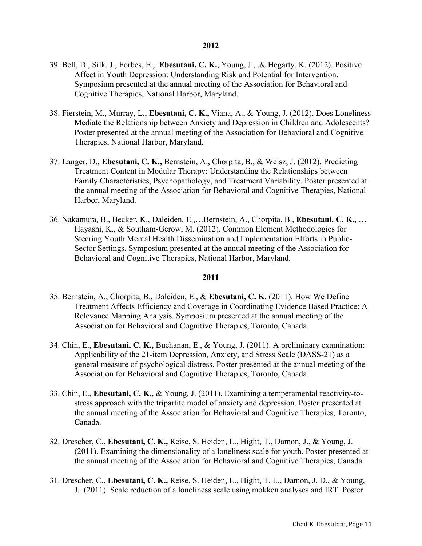- 39. Bell, D., Silk, J., Forbes, E.,..**Ebesutani, C. K.**, Young, J.,..& Hegarty, K. (2012). Positive Affect in Youth Depression: Understanding Risk and Potential for Intervention. Symposium presented at the annual meeting of the Association for Behavioral and Cognitive Therapies, National Harbor, Maryland.
- 38. Fierstein, M., Murray, L., **Ebesutani, C. K.,** Viana, A., & Young, J. (2012). Does Loneliness Mediate the Relationship between Anxiety and Depression in Children and Adolescents? Poster presented at the annual meeting of the Association for Behavioral and Cognitive Therapies, National Harbor, Maryland.
- 37. Langer, D., **Ebesutani, C. K.,** Bernstein, A., Chorpita, B., & Weisz, J. (2012). Predicting Treatment Content in Modular Therapy: Understanding the Relationships between Family Characteristics, Psychopathology, and Treatment Variability. Poster presented at the annual meeting of the Association for Behavioral and Cognitive Therapies, National Harbor, Maryland.
- 36. Nakamura, B., Becker, K., Daleiden, E.,…Bernstein, A., Chorpita, B., **Ebesutani, C. K.,** … Hayashi, K., & Southam-Gerow, M. (2012). Common Element Methodologies for Steering Youth Mental Health Dissemination and Implementation Efforts in Public-Sector Settings. Symposium presented at the annual meeting of the Association for Behavioral and Cognitive Therapies, National Harbor, Maryland.

- 35. Bernstein, A., Chorpita, B., Daleiden, E., & **Ebesutani, C. K.** (2011). How We Define Treatment Affects Efficiency and Coverage in Coordinating Evidence Based Practice: A Relevance Mapping Analysis. Symposium presented at the annual meeting of the Association for Behavioral and Cognitive Therapies, Toronto, Canada.
- 34. Chin, E., **Ebesutani, C. K.,** Buchanan, E., & Young, J. (2011). A preliminary examination: Applicability of the 21-item Depression, Anxiety, and Stress Scale (DASS-21) as a general measure of psychological distress. Poster presented at the annual meeting of the Association for Behavioral and Cognitive Therapies, Toronto, Canada.
- 33. Chin, E., **Ebesutani, C. K.,** & Young, J. (2011). Examining a temperamental reactivity-tostress approach with the tripartite model of anxiety and depression. Poster presented at the annual meeting of the Association for Behavioral and Cognitive Therapies, Toronto, Canada.
- 32. Drescher, C., **Ebesutani, C. K.,** Reise, S. Heiden, L., Hight, T., Damon, J., & Young, J. (2011). Examining the dimensionality of a loneliness scale for youth. Poster presented at the annual meeting of the Association for Behavioral and Cognitive Therapies, Canada.
- 31. Drescher, C., **Ebesutani, C. K.,** Reise, S. Heiden, L., Hight, T. L., Damon, J. D., & Young, J. (2011). Scale reduction of a loneliness scale using mokken analyses and IRT. Poster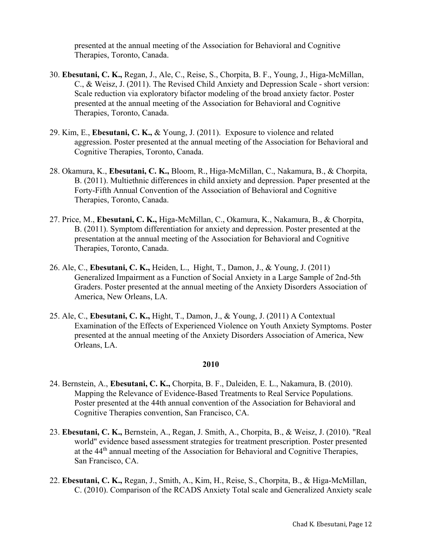presented at the annual meeting of the Association for Behavioral and Cognitive Therapies, Toronto, Canada.

- 30. **Ebesutani, C. K.,** Regan, J., Ale, C., Reise, S., Chorpita, B. F., Young, J., Higa-McMillan, C., & Weisz, J. (2011). The Revised Child Anxiety and Depression Scale - short version: Scale reduction via exploratory bifactor modeling of the broad anxiety factor. Poster presented at the annual meeting of the Association for Behavioral and Cognitive Therapies, Toronto, Canada.
- 29. Kim, E., **Ebesutani, C. K.,** & Young, J. (2011). Exposure to violence and related aggression. Poster presented at the annual meeting of the Association for Behavioral and Cognitive Therapies, Toronto, Canada.
- 28. Okamura, K., **Ebesutani, C. K.,** Bloom, R., Higa-McMillan, C., Nakamura, B., & Chorpita, B. (2011). Multiethnic differences in child anxiety and depression. Paper presented at the Forty-Fifth Annual Convention of the Association of Behavioral and Cognitive Therapies, Toronto, Canada.
- 27. Price, M., **Ebesutani, C. K.,** Higa-McMillan, C., Okamura, K., Nakamura, B., & Chorpita, B. (2011). Symptom differentiation for anxiety and depression. Poster presented at the presentation at the annual meeting of the Association for Behavioral and Cognitive Therapies, Toronto, Canada.
- 26. Ale, C., **Ebesutani, C. K.,** Heiden, L., Hight, T., Damon, J., & Young, J. (2011) Generalized Impairment as a Function of Social Anxiety in a Large Sample of 2nd-5th Graders. Poster presented at the annual meeting of the Anxiety Disorders Association of America, New Orleans, LA.
- 25. Ale, C., **Ebesutani, C. K.,** Hight, T., Damon, J., & Young, J. (2011) A Contextual Examination of the Effects of Experienced Violence on Youth Anxiety Symptoms. Poster presented at the annual meeting of the Anxiety Disorders Association of America, New Orleans, LA.

- 24. Bernstein, A., **Ebesutani, C. K.,** Chorpita, B. F., Daleiden, E. L., Nakamura, B. (2010). Mapping the Relevance of Evidence-Based Treatments to Real Service Populations. Poster presented at the 44th annual convention of the Association for Behavioral and Cognitive Therapies convention, San Francisco, CA.
- 23. **Ebesutani, C. K.,** Bernstein, A., Regan, J. Smith, A., Chorpita, B., & Weisz, J. (2010). "Real world" evidence based assessment strategies for treatment prescription. Poster presented at the 44<sup>th</sup> annual meeting of the Association for Behavioral and Cognitive Therapies, San Francisco, CA.
- 22. **Ebesutani, C. K.,** Regan, J., Smith, A., Kim, H., Reise, S., Chorpita, B., & Higa-McMillan, C. (2010). Comparison of the RCADS Anxiety Total scale and Generalized Anxiety scale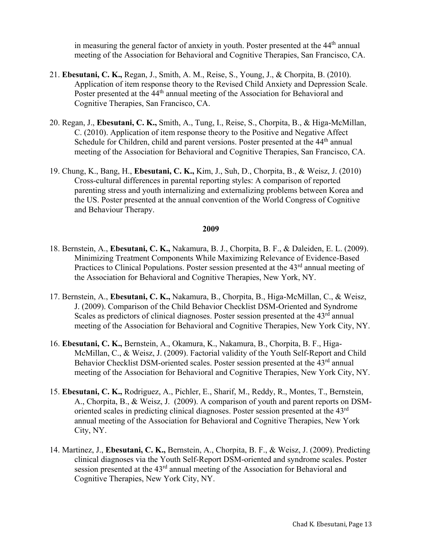in measuring the general factor of anxiety in youth. Poster presented at the  $44<sup>th</sup>$  annual meeting of the Association for Behavioral and Cognitive Therapies, San Francisco, CA.

- 21. **Ebesutani, C. K.,** Regan, J., Smith, A. M., Reise, S., Young, J., & Chorpita, B. (2010). Application of item response theory to the Revised Child Anxiety and Depression Scale. Poster presented at the 44<sup>th</sup> annual meeting of the Association for Behavioral and Cognitive Therapies, San Francisco, CA.
- 20. Regan, J., **Ebesutani, C. K.,** Smith, A., Tung, I., Reise, S., Chorpita, B., & Higa-McMillan, C. (2010). Application of item response theory to the Positive and Negative Affect Schedule for Children, child and parent versions. Poster presented at the 44<sup>th</sup> annual meeting of the Association for Behavioral and Cognitive Therapies, San Francisco, CA.
- 19. Chung, K., Bang, H., **Ebesutani, C. K.,** Kim, J., Suh, D., Chorpita, B., & Weisz, J. (2010) Cross-cultural differences in parental reporting styles: A comparison of reported parenting stress and youth internalizing and externalizing problems between Korea and the US. Poster presented at the annual convention of the World Congress of Cognitive and Behaviour Therapy.

- 18. Bernstein, A., **Ebesutani, C. K.,** Nakamura, B. J., Chorpita, B. F., & Daleiden, E. L. (2009). Minimizing Treatment Components While Maximizing Relevance of Evidence-Based Practices to Clinical Populations. Poster session presented at the 43<sup>rd</sup> annual meeting of the Association for Behavioral and Cognitive Therapies, New York, NY.
- 17. Bernstein, A., **Ebesutani, C. K.,** Nakamura, B., Chorpita, B., Higa-McMillan, C., & Weisz, J. (2009). Comparison of the Child Behavior Checklist DSM-Oriented and Syndrome Scales as predictors of clinical diagnoses. Poster session presented at the 43<sup>rd</sup> annual meeting of the Association for Behavioral and Cognitive Therapies, New York City, NY.
- 16. **Ebesutani, C. K.,** Bernstein, A., Okamura, K., Nakamura, B., Chorpita, B. F., Higa-McMillan, C., & Weisz, J. (2009). Factorial validity of the Youth Self-Report and Child Behavior Checklist DSM-oriented scales. Poster session presented at the 43<sup>rd</sup> annual meeting of the Association for Behavioral and Cognitive Therapies, New York City, NY.
- 15. **Ebesutani, C. K.,** Rodriguez, A., Pichler, E., Sharif, M., Reddy, R., Montes, T., Bernstein, A., Chorpita, B., & Weisz, J. (2009). A comparison of youth and parent reports on DSMoriented scales in predicting clinical diagnoses. Poster session presented at the 43rd annual meeting of the Association for Behavioral and Cognitive Therapies, New York City, NY.
- 14. Martinez, J., **Ebesutani, C. K.,** Bernstein, A., Chorpita, B. F., & Weisz, J. (2009). Predicting clinical diagnoses via the Youth Self-Report DSM-oriented and syndrome scales. Poster session presented at the 43<sup>rd</sup> annual meeting of the Association for Behavioral and Cognitive Therapies, New York City, NY.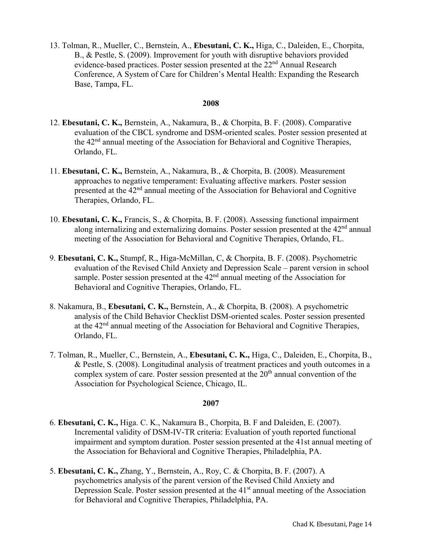13. Tolman, R., Mueller, C., Bernstein, A., **Ebesutani, C. K.,** Higa, C., Daleiden, E., Chorpita, B., & Pestle, S. (2009). Improvement for youth with disruptive behaviors provided evidence-based practices. Poster session presented at the 22<sup>nd</sup> Annual Research Conference, A System of Care for Children's Mental Health: Expanding the Research Base, Tampa, FL.

## **2008**

- 12. **Ebesutani, C. K.,** Bernstein, A., Nakamura, B., & Chorpita, B. F. (2008). Comparative evaluation of the CBCL syndrome and DSM-oriented scales. Poster session presented at the 42nd annual meeting of the Association for Behavioral and Cognitive Therapies, Orlando, FL.
- 11. **Ebesutani, C. K.,** Bernstein, A., Nakamura, B., & Chorpita, B. (2008). Measurement approaches to negative temperament: Evaluating affective markers. Poster session presented at the 42nd annual meeting of the Association for Behavioral and Cognitive Therapies, Orlando, FL.
- 10. **Ebesutani, C. K.,** Francis, S., & Chorpita, B. F. (2008). Assessing functional impairment along internalizing and externalizing domains. Poster session presented at the  $42<sup>nd</sup>$  annual meeting of the Association for Behavioral and Cognitive Therapies, Orlando, FL.
- 9. **Ebesutani, C. K.,** Stumpf, R., Higa-McMillan, C, & Chorpita, B. F. (2008). Psychometric evaluation of the Revised Child Anxiety and Depression Scale – parent version in school sample. Poster session presented at the  $42<sup>nd</sup>$  annual meeting of the Association for Behavioral and Cognitive Therapies, Orlando, FL.
- 8. Nakamura, B., **Ebesutani, C. K.,** Bernstein, A., & Chorpita, B. (2008). A psychometric analysis of the Child Behavior Checklist DSM-oriented scales. Poster session presented at the 42<sup>nd</sup> annual meeting of the Association for Behavioral and Cognitive Therapies, Orlando, FL.
- 7. Tolman, R., Mueller, C., Bernstein, A., **Ebesutani, C. K.,** Higa, C., Daleiden, E., Chorpita, B., & Pestle, S. (2008). Longitudinal analysis of treatment practices and youth outcomes in a complex system of care. Poster session presented at the  $20<sup>th</sup>$  annual convention of the Association for Psychological Science, Chicago, IL.

- 6. **Ebesutani, C. K.,** Higa. C. K., Nakamura B., Chorpita, B. F and Daleiden, E. (2007). Incremental validity of DSM-IV-TR criteria: Evaluation of youth reported functional impairment and symptom duration. Poster session presented at the 41st annual meeting of the Association for Behavioral and Cognitive Therapies, Philadelphia, PA.
- 5. **Ebesutani, C. K.,** Zhang, Y., Bernstein, A., Roy, C. & Chorpita, B. F. (2007). A psychometrics analysis of the parent version of the Revised Child Anxiety and Depression Scale. Poster session presented at the  $41<sup>st</sup>$  annual meeting of the Association for Behavioral and Cognitive Therapies, Philadelphia, PA.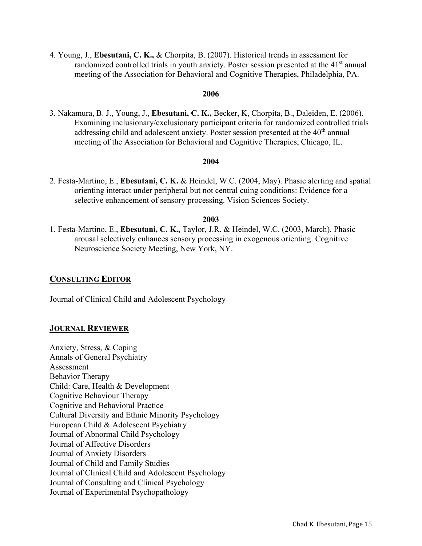4. Young, J., **Ebesutani, C. K.,** & Chorpita, B. (2007). Historical trends in assessment for randomized controlled trials in youth anxiety. Poster session presented at the 41<sup>st</sup> annual meeting of the Association for Behavioral and Cognitive Therapies, Philadelphia, PA.

### **2006**

3. Nakamura, B. J., Young, J., **Ebesutani, C. K.,** Becker, K, Chorpita, B., Daleiden, E. (2006). Examining inclusionary/exclusionary participant criteria for randomized controlled trials addressing child and adolescent anxiety. Poster session presented at the  $40<sup>th</sup>$  annual meeting of the Association for Behavioral and Cognitive Therapies, Chicago, IL.

### **2004**

2. Festa-Martino, E., **Ebesutani, C. K.** & Heindel, W.C. (2004, May). Phasic alerting and spatial orienting interact under peripheral but not central cuing conditions: Evidence for a selective enhancement of sensory processing. Vision Sciences Society.

### **2003**

1. Festa-Martino, E., **Ebesutani, C. K.,** Taylor, J.R. & Heindel, W.C. (2003, March). Phasic arousal selectively enhances sensory processing in exogenous orienting. Cognitive Neuroscience Society Meeting, New York, NY.

### **CONSULTING EDITOR**

Journal of Clinical Child and Adolescent Psychology

### **JOURNAL REVIEWER**

Anxiety, Stress, & Coping Annals of General Psychiatry Assessment Behavior Therapy Child: Care, Health & Development Cognitive Behaviour Therapy Cognitive and Behavioral Practice Cultural Diversity and Ethnic Minority Psychology European Child & Adolescent Psychiatry Journal of Abnormal Child Psychology Journal of Affective Disorders Journal of Anxiety Disorders Journal of Child and Family Studies Journal of Clinical Child and Adolescent Psychology Journal of Consulting and Clinical Psychology Journal of Experimental Psychopathology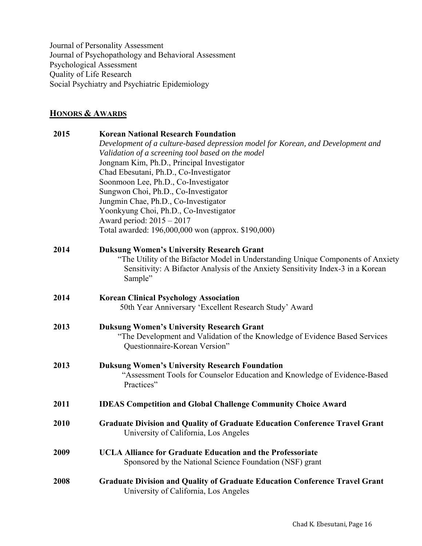Journal of Personality Assessment Journal of Psychopathology and Behavioral Assessment Psychological Assessment Quality of Life Research Social Psychiatry and Psychiatric Epidemiology

## **HONORS & AWARDS**

| 2015 | <b>Korean National Research Foundation</b>                                                                    |
|------|---------------------------------------------------------------------------------------------------------------|
|      | Development of a culture-based depression model for Korean, and Development and                               |
|      | Validation of a screening tool based on the model                                                             |
|      | Jongnam Kim, Ph.D., Principal Investigator                                                                    |
|      | Chad Ebesutani, Ph.D., Co-Investigator                                                                        |
|      | Soonmoon Lee, Ph.D., Co-Investigator                                                                          |
|      | Sungwon Choi, Ph.D., Co-Investigator                                                                          |
|      | Jungmin Chae, Ph.D., Co-Investigator                                                                          |
|      | Yoonkyung Choi, Ph.D., Co-Investigator                                                                        |
|      | Award period: 2015 - 2017                                                                                     |
|      | Total awarded: 196,000,000 won (approx. \$190,000)                                                            |
| 2014 | <b>Duksung Women's University Research Grant</b>                                                              |
|      | "The Utility of the Bifactor Model in Understanding Unique Components of Anxiety                              |
|      | Sensitivity: A Bifactor Analysis of the Anxiety Sensitivity Index-3 in a Korean                               |
|      | Sample"                                                                                                       |
| 2014 | <b>Korean Clinical Psychology Association</b>                                                                 |
|      | 50th Year Anniversary 'Excellent Research Study' Award                                                        |
| 2013 | <b>Duksung Women's University Research Grant</b>                                                              |
|      | "The Development and Validation of the Knowledge of Evidence Based Services"<br>Questionnaire-Korean Version" |
|      |                                                                                                               |
| 2013 | <b>Duksung Women's University Research Foundation</b>                                                         |
|      | "Assessment Tools for Counselor Education and Knowledge of Evidence-Based                                     |
|      | Practices"                                                                                                    |
| 2011 | <b>IDEAS Competition and Global Challenge Community Choice Award</b>                                          |
| 2010 | <b>Graduate Division and Quality of Graduate Education Conference Travel Grant</b>                            |
|      | University of California, Los Angeles                                                                         |
| 2009 | <b>UCLA Alliance for Graduate Education and the Professoriate</b>                                             |
|      | Sponsored by the National Science Foundation (NSF) grant                                                      |
| 2008 | <b>Graduate Division and Quality of Graduate Education Conference Travel Grant</b>                            |
|      | University of California, Los Angeles                                                                         |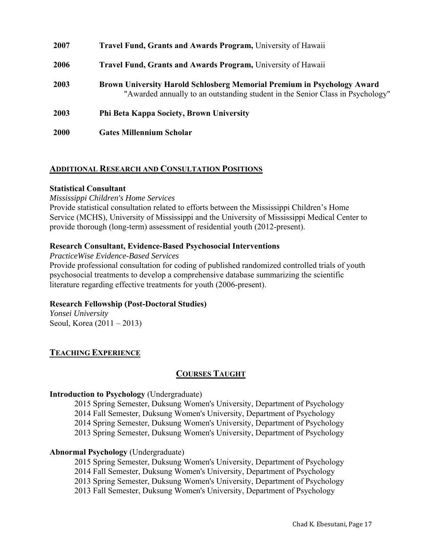| <b>Travel Fund, Grants and Awards Program, University of Hawaii</b>                                                                                              |
|------------------------------------------------------------------------------------------------------------------------------------------------------------------|
| Travel Fund, Grants and Awards Program, University of Hawaii                                                                                                     |
| <b>Brown University Harold Schlosberg Memorial Premium in Psychology Award</b><br>"Awarded annually to an outstanding student in the Senior Class in Psychology" |
| Phi Beta Kappa Society, Brown University                                                                                                                         |
| <b>Gates Millennium Scholar</b>                                                                                                                                  |
|                                                                                                                                                                  |

## **ADDITIONAL RESEARCH AND CONSULTATION POSITIONS**

### **Statistical Consultant**

*Mississippi Children's Home Services* 

Provide statistical consultation related to efforts between the Mississippi Children's Home Service (MCHS), University of Mississippi and the University of Mississippi Medical Center to provide thorough (long-term) assessment of residential youth (2012-present).

## **Research Consultant, Evidence-Based Psychosocial Interventions**

*PracticeWise Evidence-Based Services* 

Provide professional consultation for coding of published randomized controlled trials of youth psychosocial treatments to develop a comprehensive database summarizing the scientific literature regarding effective treatments for youth (2006-present).

## **Research Fellowship (Post-Doctoral Studies)**

*Yonsei University*  Seoul, Korea (2011 – 2013)

## **TEACHING EXPERIENCE**

## **COURSES TAUGHT**

### **Introduction to Psychology** (Undergraduate)

2015 Spring Semester, Duksung Women's University, Department of Psychology 2014 Fall Semester, Duksung Women's University, Department of Psychology 2014 Spring Semester, Duksung Women's University, Department of Psychology

2013 Spring Semester, Duksung Women's University, Department of Psychology

### **Abnormal Psychology** (Undergraduate)

2015 Spring Semester, Duksung Women's University, Department of Psychology 2014 Fall Semester, Duksung Women's University, Department of Psychology 2013 Spring Semester, Duksung Women's University, Department of Psychology 2013 Fall Semester, Duksung Women's University, Department of Psychology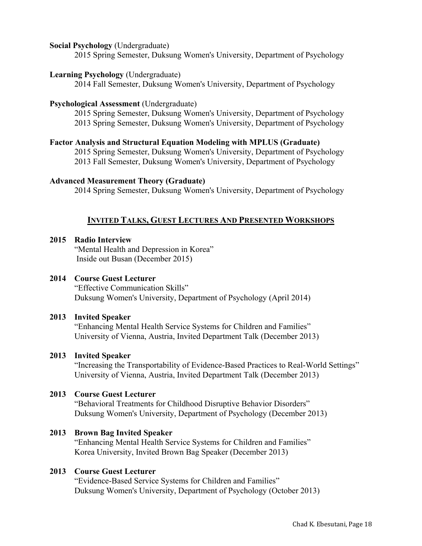### **Social Psychology** (Undergraduate)

2015 Spring Semester, Duksung Women's University, Department of Psychology

### **Learning Psychology** (Undergraduate)

2014 Fall Semester, Duksung Women's University, Department of Psychology

### **Psychological Assessment (Undergraduate)**

2015 Spring Semester, Duksung Women's University, Department of Psychology 2013 Spring Semester, Duksung Women's University, Department of Psychology

## **Factor Analysis and Structural Equation Modeling with MPLUS (Graduate)**

2015 Spring Semester, Duksung Women's University, Department of Psychology 2013 Fall Semester, Duksung Women's University, Department of Psychology

#### **Advanced Measurement Theory (Graduate)**

2014 Spring Semester, Duksung Women's University, Department of Psychology

## **INVITED TALKS, GUEST LECTURES AND PRESENTED WORKSHOPS**

## **2015 Radio Interview**

"Mental Health and Depression in Korea" Inside out Busan (December 2015)

## **2014 Course Guest Lecturer**

"Effective Communication Skills" Duksung Women's University, Department of Psychology (April 2014)

### **2013 Invited Speaker**

"Enhancing Mental Health Service Systems for Children and Families" University of Vienna, Austria, Invited Department Talk (December 2013)

### **2013 Invited Speaker**

"Increasing the Transportability of Evidence-Based Practices to Real-World Settings" University of Vienna, Austria, Invited Department Talk (December 2013)

## **2013 Course Guest Lecturer**

"Behavioral Treatments for Childhood Disruptive Behavior Disorders" Duksung Women's University, Department of Psychology (December 2013)

## **2013 Brown Bag Invited Speaker**

"Enhancing Mental Health Service Systems for Children and Families" Korea University, Invited Brown Bag Speaker (December 2013)

## **2013 Course Guest Lecturer**

"Evidence-Based Service Systems for Children and Families" Duksung Women's University, Department of Psychology (October 2013)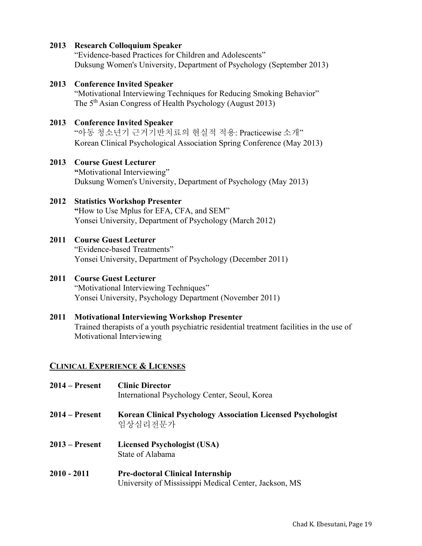## **2013 Research Colloquium Speaker**

"Evidence-based Practices for Children and Adolescents" Duksung Women's University, Department of Psychology (September 2013)

**2013 Conference Invited Speaker**  "Motivational Interviewing Techniques for Reducing Smoking Behavior" The 5<sup>th</sup> Asian Congress of Health Psychology (August 2013)

## **2013 Conference Invited Speaker**

"아동 청소년기 근거기반치료의 현실적 적용: Practicewise 소개" Korean Clinical Psychological Association Spring Conference (May 2013)

## **2013 Course Guest Lecturer**

 **"**Motivational Interviewing" Duksung Women's University, Department of Psychology (May 2013)

## **2012 Statistics Workshop Presenter**

 **"**How to Use Mplus for EFA, CFA, and SEM" Yonsei University, Department of Psychology (March 2012)

## **2011 Course Guest Lecturer**

"Evidence-based Treatments" Yonsei University, Department of Psychology (December 2011)

## **2011 Course Guest Lecturer**

"Motivational Interviewing Techniques" Yonsei University, Psychology Department (November 2011)

## **2011 Motivational Interviewing Workshop Presenter**

Trained therapists of a youth psychiatric residential treatment facilities in the use of Motivational Interviewing

## **CLINICAL EXPERIENCE & LICENSES**

| 2014 – Present | <b>Clinic Director</b><br>International Psychology Center, Seoul, Korea                          |
|----------------|--------------------------------------------------------------------------------------------------|
| 2014 – Present | <b>Korean Clinical Psychology Association Licensed Psychologist</b><br>임상심리전문가                   |
| 2013 – Present | Licensed Psychologist (USA)<br>State of Alabama                                                  |
| 2010 - 2011    | <b>Pre-doctoral Clinical Internship</b><br>University of Mississippi Medical Center, Jackson, MS |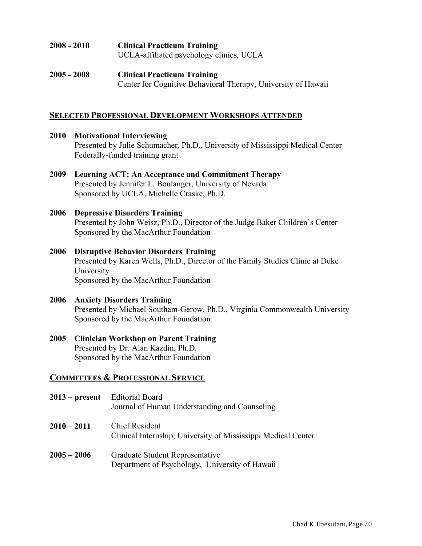| 2008 - 2010 | <b>Clinical Practicum Training</b><br>UCLA-affiliated psychology clinics, UCLA                      |
|-------------|-----------------------------------------------------------------------------------------------------|
| 2005 - 2008 | <b>Clinical Practicum Training</b><br>Center for Cognitive Behavioral Therapy, University of Hawaii |

## **SELECTED PROFESSIONAL DEVELOPMENT WORKSHOPS ATTENDED**

**2010 Motivational Interviewing**  Presented by Julie Schumacher, Ph.D., University of Mississippi Medical Center Federally-funded training grant **2009 Learning ACT: An Acceptance and Commitment Therapy**  Presented by Jennifer L. Boulanger, University of Nevada Sponsored by UCLA, Michelle Craske, Ph.D. **2006 Depressive Disorders Training**  Presented by John Weisz, Ph.D., Director of the Judge Baker Children's Center Sponsored by the MacArthur Foundation **2006 Disruptive Behavior Disorders Training**  Presented by Karen Wells, Ph.D., Director of the Family Studies Clinic at Duke University Sponsored by the MacArthur Foundation **2006 Anxiety Disorders Training**  Presented by Michael Southam-Gerow, Ph.D., Virginia Commonwealth University Sponsored by the MacArthur Foundation **2005 Clinician Workshop on Parent Training**  Presented by Dr. Alan Kazdin, Ph.D. Sponsored by the MacArthur Foundation

## **COMMITTEES & PROFESSIONAL SERVICE**

| $2013$ – present | <b>Editorial Board</b><br>Journal of Human Understanding and Counseling           |
|------------------|-----------------------------------------------------------------------------------|
| $2010 - 2011$    | Chief Resident<br>Clinical Internship, University of Mississippi Medical Center   |
| $2005 - 2006$    | Graduate Student Representative<br>Department of Psychology, University of Hawaii |